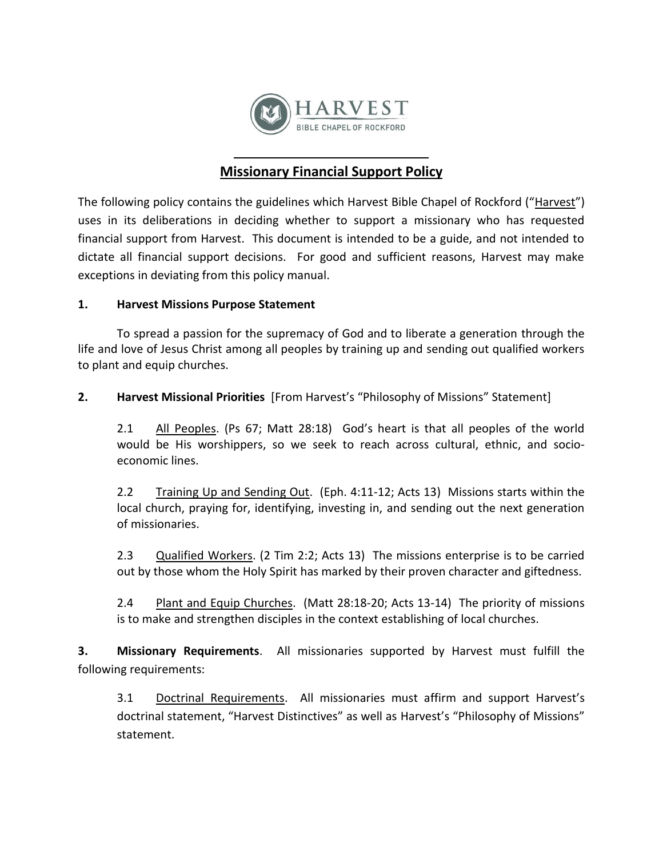

## **Missionary Financial Support Policy**

The following policy contains the guidelines which Harvest Bible Chapel of Rockford ("Harvest") uses in its deliberations in deciding whether to support a missionary who has requested financial support from Harvest. This document is intended to be a guide, and not intended to dictate all financial support decisions. For good and sufficient reasons, Harvest may make exceptions in deviating from this policy manual.

## **1. Harvest Missions Purpose Statement**

To spread a passion for the supremacy of God and to liberate a generation through the life and love of Jesus Christ among all peoples by training up and sending out qualified workers to plant and equip churches.

**2. Harvest Missional Priorities** [From Harvest's "Philosophy of Missions" Statement]

2.1 All Peoples. (Ps 67; Matt 28:18) God's heart is that all peoples of the world would be His worshippers, so we seek to reach across cultural, ethnic, and socioeconomic lines.

2.2 Training Up and Sending Out. (Eph. 4:11-12; Acts 13) Missions starts within the local church, praying for, identifying, investing in, and sending out the next generation of missionaries.

2.3 Qualified Workers. (2 Tim 2:2; Acts 13) The missions enterprise is to be carried out by those whom the Holy Spirit has marked by their proven character and giftedness.

2.4 Plant and Equip Churches. (Matt 28:18-20; Acts 13-14) The priority of missions is to make and strengthen disciples in the context establishing of local churches.

**3. Missionary Requirements**. All missionaries supported by Harvest must fulfill the following requirements:

3.1 Doctrinal Requirements. All missionaries must affirm and support Harvest's doctrinal statement, "Harvest Distinctives" as well as Harvest's "Philosophy of Missions" statement.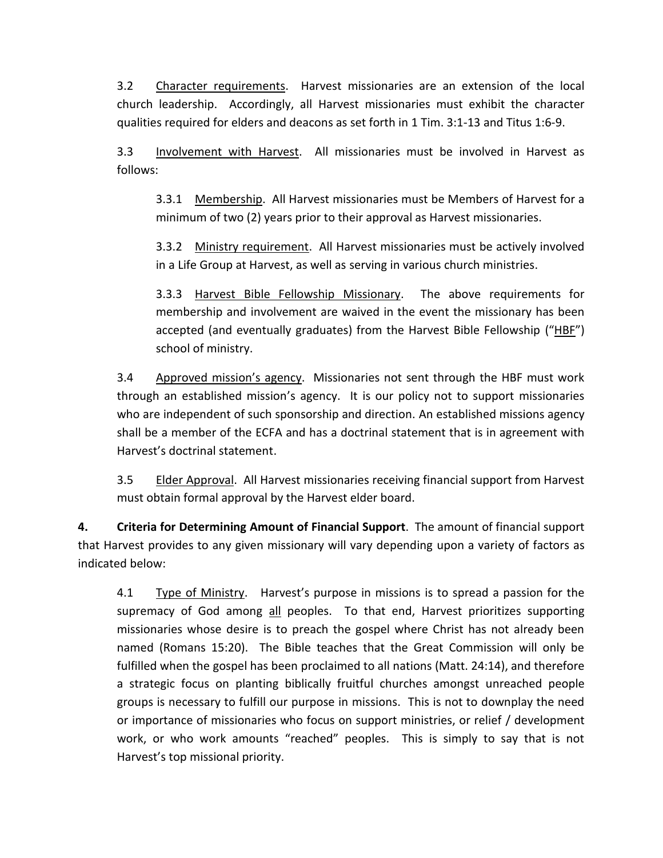3.2 Character requirements. Harvest missionaries are an extension of the local church leadership. Accordingly, all Harvest missionaries must exhibit the character qualities required for elders and deacons as set forth in 1 Tim. 3:1-13 and Titus 1:6-9.

3.3 Involvement with Harvest. All missionaries must be involved in Harvest as follows:

3.3.1 Membership. All Harvest missionaries must be Members of Harvest for a minimum of two (2) years prior to their approval as Harvest missionaries.

3.3.2 Ministry requirement. All Harvest missionaries must be actively involved in a Life Group at Harvest, as well as serving in various church ministries.

3.3.3 Harvest Bible Fellowship Missionary. The above requirements for membership and involvement are waived in the event the missionary has been accepted (and eventually graduates) from the Harvest Bible Fellowship ("HBF") school of ministry.

3.4 Approved mission's agency. Missionaries not sent through the HBF must work through an established mission's agency. It is our policy not to support missionaries who are independent of such sponsorship and direction. An established missions agency shall be a member of the ECFA and has a doctrinal statement that is in agreement with Harvest's doctrinal statement.

3.5 Elder Approval. All Harvest missionaries receiving financial support from Harvest must obtain formal approval by the Harvest elder board.

**4. Criteria for Determining Amount of Financial Support**. The amount of financial support that Harvest provides to any given missionary will vary depending upon a variety of factors as indicated below:

4.1 Type of Ministry. Harvest's purpose in missions is to spread a passion for the supremacy of God among all peoples. To that end, Harvest prioritizes supporting missionaries whose desire is to preach the gospel where Christ has not already been named (Romans 15:20). The Bible teaches that the Great Commission will only be fulfilled when the gospel has been proclaimed to all nations (Matt. 24:14), and therefore a strategic focus on planting biblically fruitful churches amongst unreached people groups is necessary to fulfill our purpose in missions. This is not to downplay the need or importance of missionaries who focus on support ministries, or relief / development work, or who work amounts "reached" peoples. This is simply to say that is not Harvest's top missional priority.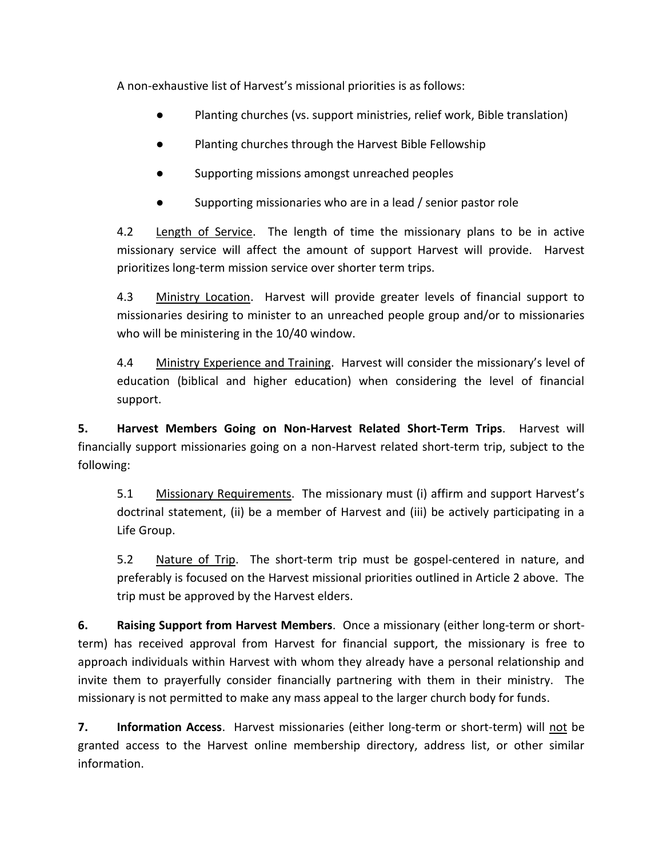A non-exhaustive list of Harvest's missional priorities is as follows:

- Planting churches (vs. support ministries, relief work, Bible translation)
- Planting churches through the Harvest Bible Fellowship
- Supporting missions amongst unreached peoples
- Supporting missionaries who are in a lead / senior pastor role

4.2 Length of Service. The length of time the missionary plans to be in active missionary service will affect the amount of support Harvest will provide. Harvest prioritizes long-term mission service over shorter term trips.

4.3 Ministry Location. Harvest will provide greater levels of financial support to missionaries desiring to minister to an unreached people group and/or to missionaries who will be ministering in the 10/40 window.

4.4 Ministry Experience and Training. Harvest will consider the missionary's level of education (biblical and higher education) when considering the level of financial support.

**5. Harvest Members Going on Non-Harvest Related Short-Term Trips**. Harvest will financially support missionaries going on a non-Harvest related short-term trip, subject to the following:

5.1 Missionary Requirements. The missionary must (i) affirm and support Harvest's doctrinal statement, (ii) be a member of Harvest and (iii) be actively participating in a Life Group.

5.2 Nature of Trip. The short-term trip must be gospel-centered in nature, and preferably is focused on the Harvest missional priorities outlined in Article 2 above. The trip must be approved by the Harvest elders.

**6. Raising Support from Harvest Members**. Once a missionary (either long-term or shortterm) has received approval from Harvest for financial support, the missionary is free to approach individuals within Harvest with whom they already have a personal relationship and invite them to prayerfully consider financially partnering with them in their ministry. The missionary is not permitted to make any mass appeal to the larger church body for funds.

**7. Information Access**. Harvest missionaries (either long-term or short-term) will not be granted access to the Harvest online membership directory, address list, or other similar information.